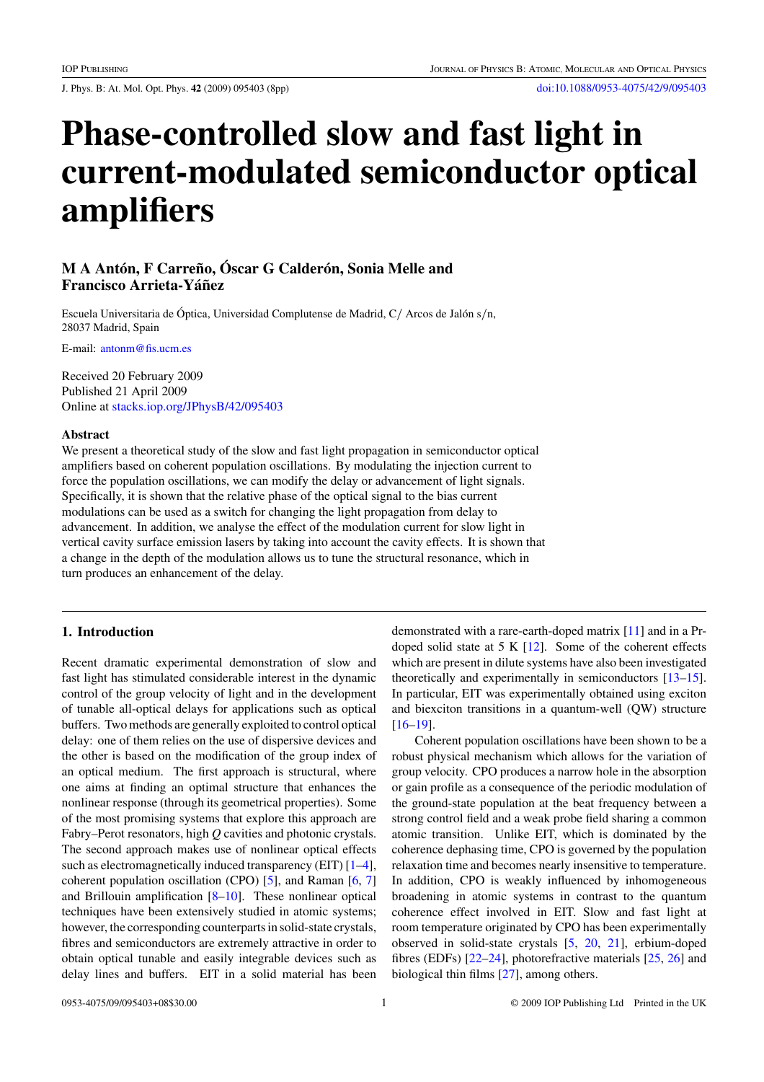J. Phys. B: At. Mol. Opt. Phys. **42** (2009) 095403 (8pp) [doi:10.1088/0953-4075/42/9/095403](http://dx.doi.org/10.1088/0953-4075/42/9/095403)

# **Phase-controlled slow and fast light in current-modulated semiconductor optical amplifiers**

# **M A Antón, F Carreño, Óscar G Calderón, Sonia Melle and Francisco Arrieta-Yáñez**

Escuela Universitaria de Óptica, Universidad Complutense de Madrid, C/ Arcos de Jalón s/n, 28037 Madrid, Spain

E-mail: [antonm@fis.ucm.es](mailto:antonm@fis.ucm.es)

Received 20 February 2009 Published 21 April 2009 Online at [stacks.iop.org/JPhysB/42/095403](http://stacks.iop.org/JPhysB/42/095403)

#### **Abstract**

We present a theoretical study of the slow and fast light propagation in semiconductor optical amplifiers based on coherent population oscillations. By modulating the injection current to force the population oscillations, we can modify the delay or advancement of light signals. Specifically, it is shown that the relative phase of the optical signal to the bias current modulations can be used as a switch for changing the light propagation from delay to advancement. In addition, we analyse the effect of the modulation current for slow light in vertical cavity surface emission lasers by taking into account the cavity effects. It is shown that a change in the depth of the modulation allows us to tune the structural resonance, which in turn produces an enhancement of the delay.

## **1. Introduction**

Recent dramatic experimental demonstration of slow and fast light has stimulated considerable interest in the dynamic control of the group velocity of light and in the development of tunable all-optical delays for applications such as optical buffers. Two methods are generally exploited to control optical delay: one of them relies on the use of dispersive devices and the other is based on the modification of the group index of an optical medium. The first approach is structural, where one aims at finding an optimal structure that enhances the nonlinear response (through its geometrical properties). Some of the most promising systems that explore this approach are Fabry–Perot resonators, high *Q* cavities and photonic crystals. The second approach makes use of nonlinear optical effects such as electromagnetically induced transparency (EIT)  $[1-4]$ , coherent population oscillation (CPO) [\[5](#page-7-0)], and Raman [\[6](#page-7-0), [7\]](#page-7-0) and Brillouin amplification [\[8–10\]](#page-7-0). These nonlinear optical techniques have been extensively studied in atomic systems; however, the corresponding counterparts in solid-state crystals, fibres and semiconductors are extremely attractive in order to obtain optical tunable and easily integrable devices such as delay lines and buffers. EIT in a solid material has been demonstrated with a rare-earth-doped matrix [\[11\]](#page-7-0) and in a Prdoped solid state at 5 K [\[12](#page-7-0)]. Some of the coherent effects which are present in dilute systems have also been investigated theoretically and experimentally in semiconductors [\[13–15](#page-7-0)]. In particular, EIT was experimentally obtained using exciton and biexciton transitions in a quantum-well (QW) structure [\[16–19](#page-7-0)].

Coherent population oscillations have been shown to be a robust physical mechanism which allows for the variation of group velocity. CPO produces a narrow hole in the absorption or gain profile as a consequence of the periodic modulation of the ground-state population at the beat frequency between a strong control field and a weak probe field sharing a common atomic transition. Unlike EIT, which is dominated by the coherence dephasing time, CPO is governed by the population relaxation time and becomes nearly insensitive to temperature. In addition, CPO is weakly influenced by inhomogeneous broadening in atomic systems in contrast to the quantum coherence effect involved in EIT. Slow and fast light at room temperature originated by CPO has been experimentally observed in solid-state crystals [\[5,](#page-7-0) [20](#page-7-0), [21](#page-7-0)], erbium-doped fibres (EDFs) [\[22–24](#page-7-0)], photorefractive materials [\[25,](#page-7-0) [26\]](#page-7-0) and biological thin films [\[27](#page-7-0)], among others.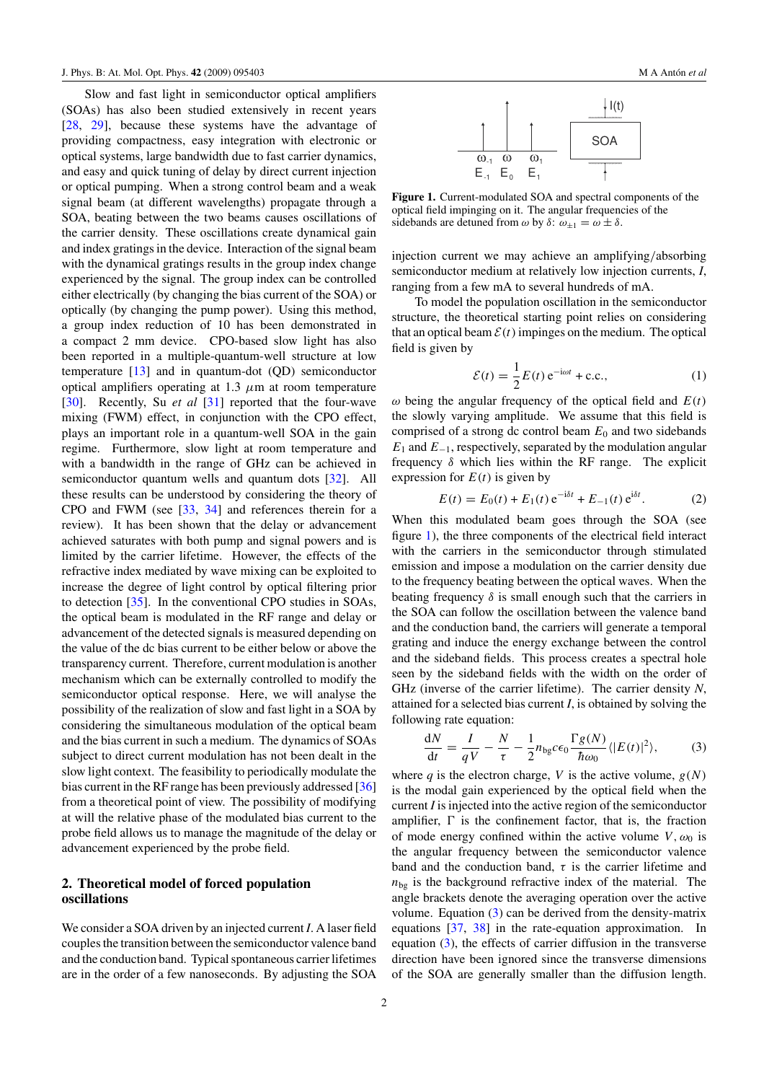<span id="page-1-0"></span>Slow and fast light in semiconductor optical amplifiers (SOAs) has also been studied extensively in recent years [\[28](#page-7-0), [29\]](#page-7-0), because these systems have the advantage of providing compactness, easy integration with electronic or optical systems, large bandwidth due to fast carrier dynamics, and easy and quick tuning of delay by direct current injection or optical pumping. When a strong control beam and a weak signal beam (at different wavelengths) propagate through a SOA, beating between the two beams causes oscillations of the carrier density. These oscillations create dynamical gain and index gratings in the device. Interaction of the signal beam with the dynamical gratings results in the group index change experienced by the signal. The group index can be controlled either electrically (by changing the bias current of the SOA) or optically (by changing the pump power). Using this method, a group index reduction of 10 has been demonstrated in a compact 2 mm device. CPO-based slow light has also been reported in a multiple-quantum-well structure at low temperature [\[13\]](#page-7-0) and in quantum-dot (QD) semiconductor optical amplifiers operating at 1.3 *μ*m at room temperature [\[30](#page-7-0)]. Recently, Su *et al* [\[31](#page-7-0)] reported that the four-wave mixing (FWM) effect, in conjunction with the CPO effect, plays an important role in a quantum-well SOA in the gain regime. Furthermore, slow light at room temperature and with a bandwidth in the range of GHz can be achieved in semiconductor quantum wells and quantum dots [\[32](#page-7-0)]. All these results can be understood by considering the theory of CPO and FWM (see [\[33](#page-7-0), [34](#page-7-0)] and references therein for a review). It has been shown that the delay or advancement achieved saturates with both pump and signal powers and is limited by the carrier lifetime. However, the effects of the refractive index mediated by wave mixing can be exploited to increase the degree of light control by optical filtering prior to detection [\[35\]](#page-7-0). In the conventional CPO studies in SOAs, the optical beam is modulated in the RF range and delay or advancement of the detected signals is measured depending on the value of the dc bias current to be either below or above the transparency current. Therefore, current modulation is another mechanism which can be externally controlled to modify the semiconductor optical response. Here, we will analyse the possibility of the realization of slow and fast light in a SOA by considering the simultaneous modulation of the optical beam and the bias current in such a medium. The dynamics of SOAs subject to direct current modulation has not been dealt in the slow light context. The feasibility to periodically modulate the bias current in the RF range has been previously addressed [\[36\]](#page-7-0) from a theoretical point of view. The possibility of modifying at will the relative phase of the modulated bias current to the probe field allows us to manage the magnitude of the delay or advancement experienced by the probe field.

## **2. Theoretical model of forced population oscillations**

We consider a SOA driven by an injected current *I*. A laser field couples the transition between the semiconductor valence band and the conduction band. Typical spontaneous carrier lifetimes are in the order of a few nanoseconds. By adjusting the SOA



**Figure 1.** Current-modulated SOA and spectral components of the optical field impinging on it. The angular frequencies of the sidebands are detuned from  $\omega$  by  $\delta$ :  $\omega_{+1} = \omega \pm \delta$ .

injection current we may achieve an amplifying*/*absorbing semiconductor medium at relatively low injection currents, *I*, ranging from a few mA to several hundreds of mA.

To model the population oscillation in the semiconductor structure, the theoretical starting point relies on considering that an optical beam  $\mathcal{E}(t)$  impinges on the medium. The optical field is given by

$$
\mathcal{E}(t) = \frac{1}{2}E(t) e^{-i\omega t} + \text{c.c.},\tag{1}
$$

 $ω$  being the angular frequency of the optical field and  $E(t)$ the slowly varying amplitude. We assume that this field is comprised of a strong dc control beam  $E_0$  and two sidebands *E*<sub>1</sub> and *E*<sub>−1</sub>, respectively, separated by the modulation angular frequency *δ* which lies within the RF range. The explicit expression for  $E(t)$  is given by

$$
E(t) = E_0(t) + E_1(t) e^{-i\delta t} + E_{-1}(t) e^{i\delta t}.
$$
 (2)

When this modulated beam goes through the SOA (see figure 1), the three components of the electrical field interact with the carriers in the semiconductor through stimulated emission and impose a modulation on the carrier density due to the frequency beating between the optical waves. When the beating frequency  $\delta$  is small enough such that the carriers in the SOA can follow the oscillation between the valence band and the conduction band, the carriers will generate a temporal grating and induce the energy exchange between the control and the sideband fields. This process creates a spectral hole seen by the sideband fields with the width on the order of GHz (inverse of the carrier lifetime). The carrier density *N*, attained for a selected bias current *I*, is obtained by solving the following rate equation:

$$
\frac{dN}{dt} = \frac{I}{qV} - \frac{N}{\tau} - \frac{1}{2}n_{bg}c\epsilon_0 \frac{\Gamma g(N)}{\hbar \omega_0} \langle |E(t)|^2 \rangle, \tag{3}
$$

where *q* is the electron charge, *V* is the active volume,  $g(N)$ is the modal gain experienced by the optical field when the current *I* is injected into the active region of the semiconductor amplifier,  $\Gamma$  is the confinement factor, that is, the fraction of mode energy confined within the active volume  $V, \omega_0$  is the angular frequency between the semiconductor valence band and the conduction band,  $\tau$  is the carrier lifetime and  $n_{\text{bg}}$  is the background refractive index of the material. The angle brackets denote the averaging operation over the active volume. Equation  $(3)$  can be derived from the density-matrix equations [\[37](#page-7-0), [38](#page-7-0)] in the rate-equation approximation. In equation  $(3)$ , the effects of carrier diffusion in the transverse direction have been ignored since the transverse dimensions of the SOA are generally smaller than the diffusion length.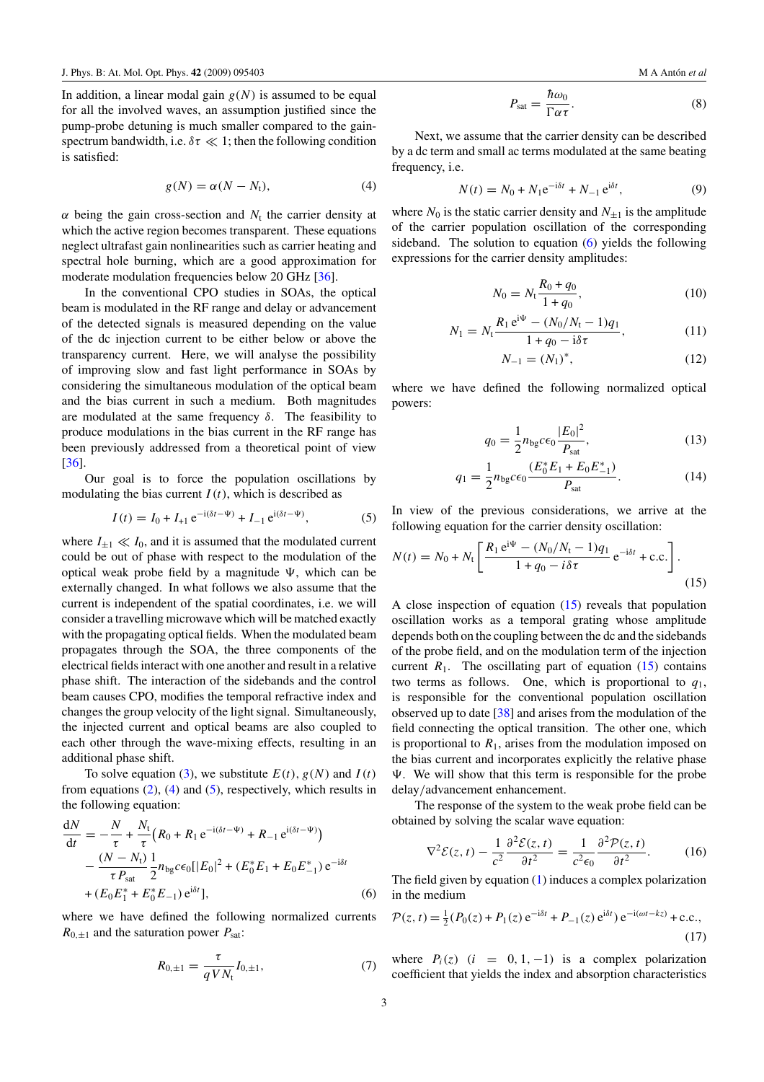<span id="page-2-0"></span>In addition, a linear modal gain  $g(N)$  is assumed to be equal for all the involved waves, an assumption justified since the pump-probe detuning is much smaller compared to the gainspectrum bandwidth, i.e.  $\delta \tau \ll 1$ ; then the following condition is satisfied:

$$
g(N) = \alpha(N - N_t), \tag{4}
$$

 $\alpha$  being the gain cross-section and  $N_t$  the carrier density at which the active region becomes transparent. These equations neglect ultrafast gain nonlinearities such as carrier heating and spectral hole burning, which are a good approximation for moderate modulation frequencies below 20 GHz [\[36\]](#page-7-0).

In the conventional CPO studies in SOAs, the optical beam is modulated in the RF range and delay or advancement of the detected signals is measured depending on the value of the dc injection current to be either below or above the transparency current. Here, we will analyse the possibility of improving slow and fast light performance in SOAs by considering the simultaneous modulation of the optical beam and the bias current in such a medium. Both magnitudes are modulated at the same frequency  $\delta$ . The feasibility to produce modulations in the bias current in the RF range has been previously addressed from a theoretical point of view [\[36](#page-7-0)].

Our goal is to force the population oscillations by modulating the bias current  $I(t)$ , which is described as

$$
I(t) = I_0 + I_{+1} e^{-i(\delta t - \Psi)} + I_{-1} e^{i(\delta t - \Psi)},
$$
 (5)

where  $I_{\pm 1} \ll I_0$ , and it is assumed that the modulated current could be out of phase with respect to the modulation of the optical weak probe field by a magnitude  $\Psi$ , which can be externally changed. In what follows we also assume that the current is independent of the spatial coordinates, i.e. we will consider a travelling microwave which will be matched exactly with the propagating optical fields. When the modulated beam propagates through the SOA, the three components of the electrical fields interact with one another and result in a relative phase shift. The interaction of the sidebands and the control beam causes CPO, modifies the temporal refractive index and changes the group velocity of the light signal. Simultaneously, the injected current and optical beams are also coupled to each other through the wave-mixing effects, resulting in an additional phase shift.

To solve equation [\(3\)](#page-1-0), we substitute  $E(t)$ ,  $g(N)$  and  $I(t)$ from equations  $(2)$ ,  $(4)$  and  $(5)$ , respectively, which results in the following equation:

*N*t

$$
\frac{dN}{dt} = -\frac{N}{\tau} + \frac{N_t}{\tau} \left( R_0 + R_1 e^{-i(\delta t - \Psi)} + R_{-1} e^{i(\delta t - \Psi)} \right) \n- \frac{(N - N_t)}{\tau P_{\text{sat}}} \frac{1}{2} n_{\text{bg}} c \epsilon_0 [|E_0|^2 + (E_0^* E_1 + E_0 E_{-1}^*) e^{-i\delta t} \n+ (E_0 E_1^* + E_0^* E_{-1}) e^{i\delta t} ], \tag{6}
$$

where we have defined the following normalized currents  $R_{0,\pm 1}$  and the saturation power  $P_{\text{sat}}$ :

$$
R_{0,\pm 1} = \frac{\tau}{q V N_{\rm t}} I_{0,\pm 1},\tag{7}
$$

$$
P_{\rm sat} = \frac{\hbar \omega_0}{\Gamma \alpha \tau}.
$$
 (8)

Next, we assume that the carrier density can be described by a dc term and small ac terms modulated at the same beating frequency, i.e.

$$
N(t) = N_0 + N_1 e^{-i\delta t} + N_{-1} e^{i\delta t},
$$
\n(9)

where  $N_0$  is the static carrier density and  $N_{+1}$  is the amplitude of the carrier population oscillation of the corresponding sideband. The solution to equation (6) yields the following expressions for the carrier density amplitudes:

$$
N_0 = N_t \frac{R_0 + q_0}{1 + q_0},\tag{10}
$$

$$
N_1 = N_t \frac{R_1 e^{i\Psi} - (N_0/N_t - 1)q_1}{1 + q_0 - i\delta\tau},
$$
\n(11)

$$
N_{-1} = (N_1)^*,\tag{12}
$$

where we have defined the following normalized optical powers:

$$
q_0 = \frac{1}{2} n_{\text{bg}} c \epsilon_0 \frac{|E_0|^2}{P_{\text{sat}}},
$$
 (13)

$$
q_1 = \frac{1}{2} n_{\text{bg}} c \epsilon_0 \frac{(E_0^* E_1 + E_0 E_{-1}^*)}{P_{\text{sat}}}.
$$
 (14)

In view of the previous considerations, we arrive at the following equation for the carrier density oscillation:

$$
N(t) = N_0 + N_t \left[ \frac{R_1 e^{i\Psi} - (N_0/N_t - 1)q_1}{1 + q_0 - i\delta\tau} e^{-i\delta t} + \text{c.c.} \right].
$$
\n(15)

A close inspection of equation (15) reveals that population oscillation works as a temporal grating whose amplitude depends both on the coupling between the dc and the sidebands of the probe field, and on the modulation term of the injection current  $R_1$ . The oscillating part of equation  $(15)$  contains two terms as follows. One, which is proportional to *q*1, is responsible for the conventional population oscillation observed up to date  $\lceil 38 \rceil$  and arises from the modulation of the field connecting the optical transition. The other one, which is proportional to  $R_1$ , arises from the modulation imposed on the bias current and incorporates explicitly the relative phase  $\Psi$ . We will show that this term is responsible for the probe delay*/*advancement enhancement.

The response of the system to the weak probe field can be obtained by solving the scalar wave equation:

$$
\nabla^2 \mathcal{E}(z, t) - \frac{1}{c^2} \frac{\partial^2 \mathcal{E}(z, t)}{\partial t^2} = \frac{1}{c^2 \epsilon_0} \frac{\partial^2 \mathcal{P}(z, t)}{\partial t^2}.
$$
 (16)

The field given by equation [\(1\)](#page-1-0) induces a complex polarization in the medium

$$
\mathcal{P}(z,t) = \frac{1}{2} (P_0(z) + P_1(z) e^{-i\delta t} + P_{-1}(z) e^{i\delta t}) e^{-i(\omega t - kz)} + \text{c.c.},
$$
\n(17)

where  $P_i(z)$  (i = 0, 1, -1) is a complex polarization coefficient that yields the index and absorption characteristics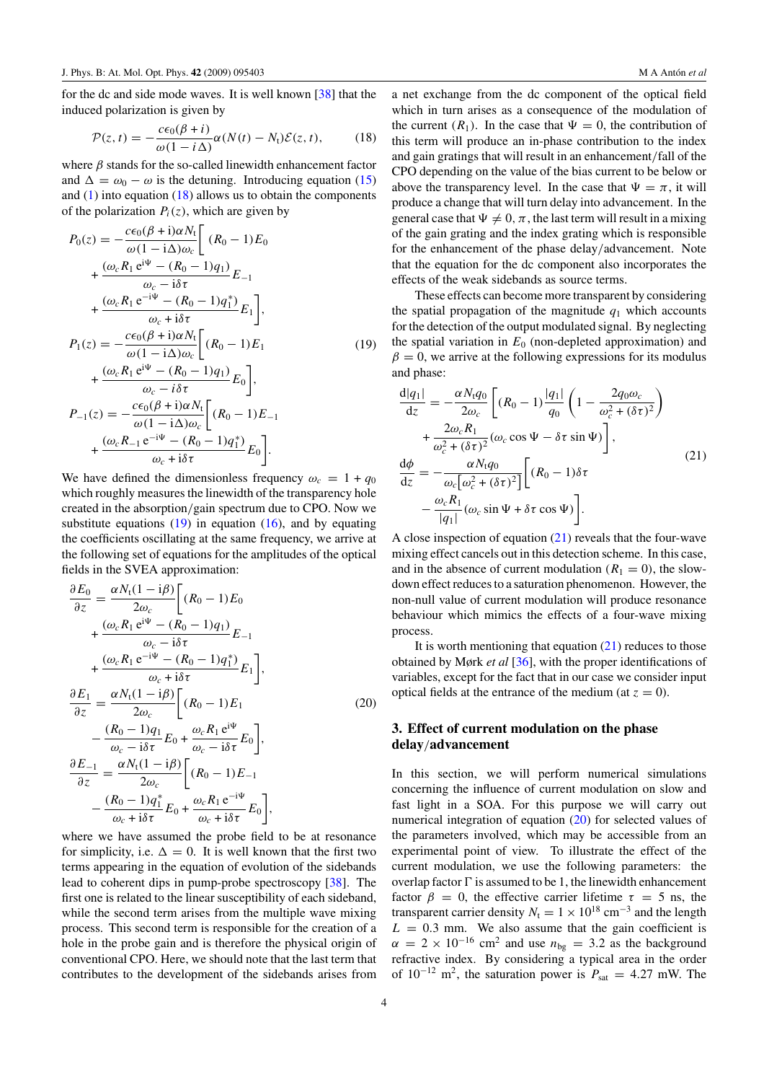<span id="page-3-0"></span>for the dc and side mode waves. It is well known [\[38](#page-7-0)] that the induced polarization is given by

$$
\mathcal{P}(z,t) = -\frac{c\epsilon_0(\beta + i)}{\omega(1 - i\Delta)}\alpha(N(t) - N_t)\mathcal{E}(z,t),\tag{18}
$$

where *β* stands for the so-called linewidth enhancement factor and  $\Delta = \omega_0 - \omega$  is the detuning. Introducing equation [\(15\)](#page-2-0) and  $(1)$  into equation  $(18)$  allows us to obtain the components of the polarization  $P_i(z)$ , which are given by

$$
P_0(z) = -\frac{c\epsilon_0(\beta + i)\alpha N_t}{\omega(1 - i\Delta)\omega_c} \left[ (R_0 - 1)E_0 + \frac{(\omega_c R_1 e^{i\Psi} - (R_0 - 1)q_1)}{\omega_c - i\delta\tau} E_{-1} + \frac{(\omega_c R_1 e^{-i\Psi} - (R_0 - 1)q_1^*)}{\omega_c + i\delta\tau} E_1 \right],
$$
  
\n
$$
P_1(z) = -\frac{c\epsilon_0(\beta + i)\alpha N_t}{\omega(1 - i\Delta)\omega_c} \left[ (R_0 - 1)E_1 + \frac{(\omega_c R_1 e^{i\Psi} - (R_0 - 1)q_1)}{\omega_c - i\delta\tau} E_0 \right],
$$
  
\n
$$
P_{-1}(z) = -\frac{c\epsilon_0(\beta + i)\alpha N_t}{\omega(1 - i\Delta)\omega_c} \left[ (R_0 - 1)E_{-1} + \frac{(\omega_c R_{-1} e^{-i\Psi} - (R_0 - 1)q_1^*)}{\omega_c + i\delta\tau} E_0 \right].
$$
 (19)

We have defined the dimensionless frequency  $\omega_c = 1 + q_0$ which roughly measures the linewidth of the transparency hole created in the absorption*/*gain spectrum due to CPO. Now we substitute equations  $(19)$  in equation  $(16)$ , and by equating the coefficients oscillating at the same frequency, we arrive at the following set of equations for the amplitudes of the optical fields in the SVEA approximation:

$$
\frac{\partial E_0}{\partial z} = \frac{\alpha N_t (1 - i\beta)}{2\omega_c} \left[ (R_0 - 1) E_0
$$
\n
$$
+ \frac{(\omega_c R_1 e^{i\psi} - (R_0 - 1)q_1)}{\omega_c - i\delta \tau} E_{-1} + \frac{(\omega_c R_1 e^{-i\psi} - (R_0 - 1)q_1^*)}{\omega_c + i\delta \tau} E_1 \right],
$$
\n
$$
\frac{\partial E_1}{\partial z} = \frac{\alpha N_t (1 - i\beta)}{2\omega_c} \left[ (R_0 - 1) E_1 - \frac{(R_0 - 1)q_1}{\omega_c - i\delta \tau} E_0 + \frac{\omega_c R_1 e^{i\psi}}{\omega_c - i\delta \tau} E_0 \right],
$$
\n
$$
\frac{\partial E_{-1}}{\partial z} = \frac{\alpha N_t (1 - i\beta)}{2\omega_c} \left[ (R_0 - 1) E_{-1} - \frac{(R_0 - 1)q_1^*}{2\omega_c} E_0 + \frac{\omega_c R_1 e^{-i\psi}}{\omega_c + i\delta \tau} E_0 \right],
$$
\n(20)

where we have assumed the probe field to be at resonance for simplicity, i.e.  $\Delta = 0$ . It is well known that the first two terms appearing in the equation of evolution of the sidebands lead to coherent dips in pump-probe spectroscopy [\[38\]](#page-7-0). The first one is related to the linear susceptibility of each sideband, while the second term arises from the multiple wave mixing process. This second term is responsible for the creation of a hole in the probe gain and is therefore the physical origin of conventional CPO. Here, we should note that the last term that contributes to the development of the sidebands arises from a net exchange from the dc component of the optical field which in turn arises as a consequence of the modulation of the current  $(R_1)$ . In the case that  $\Psi = 0$ , the contribution of this term will produce an in-phase contribution to the index and gain gratings that will result in an enhancement*/*fall of the CPO depending on the value of the bias current to be below or above the transparency level. In the case that  $\Psi = \pi$ , it will produce a change that will turn delay into advancement. In the general case that  $\Psi \neq 0$ ,  $\pi$ , the last term will result in a mixing of the gain grating and the index grating which is responsible for the enhancement of the phase delay*/*advancement. Note that the equation for the dc component also incorporates the effects of the weak sidebands as source terms.

These effects can become more transparent by considering the spatial propagation of the magnitude  $q_1$  which accounts for the detection of the output modulated signal. By neglecting the spatial variation in  $E_0$  (non-depleted approximation) and  $\beta = 0$ , we arrive at the following expressions for its modulus and phase:

$$
\frac{d|q_1|}{dz} = -\frac{\alpha N_t q_0}{2\omega_c} \left[ (R_0 - 1) \frac{|q_1|}{q_0} \left( 1 - \frac{2q_0 \omega_c}{\omega_c^2 + (\delta \tau)^2} \right) \right. \left. + \frac{2\omega_c R_1}{\omega_c^2 + (\delta \tau)^2} (\omega_c \cos \Psi - \delta \tau \sin \Psi) \right],
$$
\n
$$
\frac{d\phi}{dz} = -\frac{\alpha N_t q_0}{\omega_c [\omega_c^2 + (\delta \tau)^2]} \left[ (R_0 - 1) \delta \tau \right. \left. - \frac{\omega_c R_1}{|q_1|} (\omega_c \sin \Psi + \delta \tau \cos \Psi) \right].
$$
\n(21)

A close inspection of equation (21) reveals that the four-wave mixing effect cancels out in this detection scheme. In this case, and in the absence of current modulation  $(R_1 = 0)$ , the slowdown effect reduces to a saturation phenomenon. However, the non-null value of current modulation will produce resonance behaviour which mimics the effects of a four-wave mixing process.

It is worth mentioning that equation  $(21)$  reduces to those obtained by Mørk *et al* [\[36\]](#page-7-0), with the proper identifications of variables, except for the fact that in our case we consider input optical fields at the entrance of the medium (at  $z = 0$ ).

## **3. Effect of current modulation on the phase delay***/***advancement**

In this section, we will perform numerical simulations concerning the influence of current modulation on slow and fast light in a SOA. For this purpose we will carry out numerical integration of equation (20) for selected values of the parameters involved, which may be accessible from an experimental point of view. To illustrate the effect of the current modulation, we use the following parameters: the overlap factor  $\Gamma$  is assumed to be 1, the linewidth enhancement factor  $\beta = 0$ , the effective carrier lifetime  $\tau = 5$  ns, the transparent carrier density  $N_t = 1 \times 10^{18}$  cm<sup>-3</sup> and the length  $L = 0.3$  mm. We also assume that the gain coefficient is  $\alpha = 2 \times 10^{-16}$  cm<sup>2</sup> and use  $n_{\text{bg}} = 3.2$  as the background refractive index. By considering a typical area in the order of  $10^{-12}$  m<sup>2</sup>, the saturation power is  $P_{\text{sat}} = 4.27$  mW. The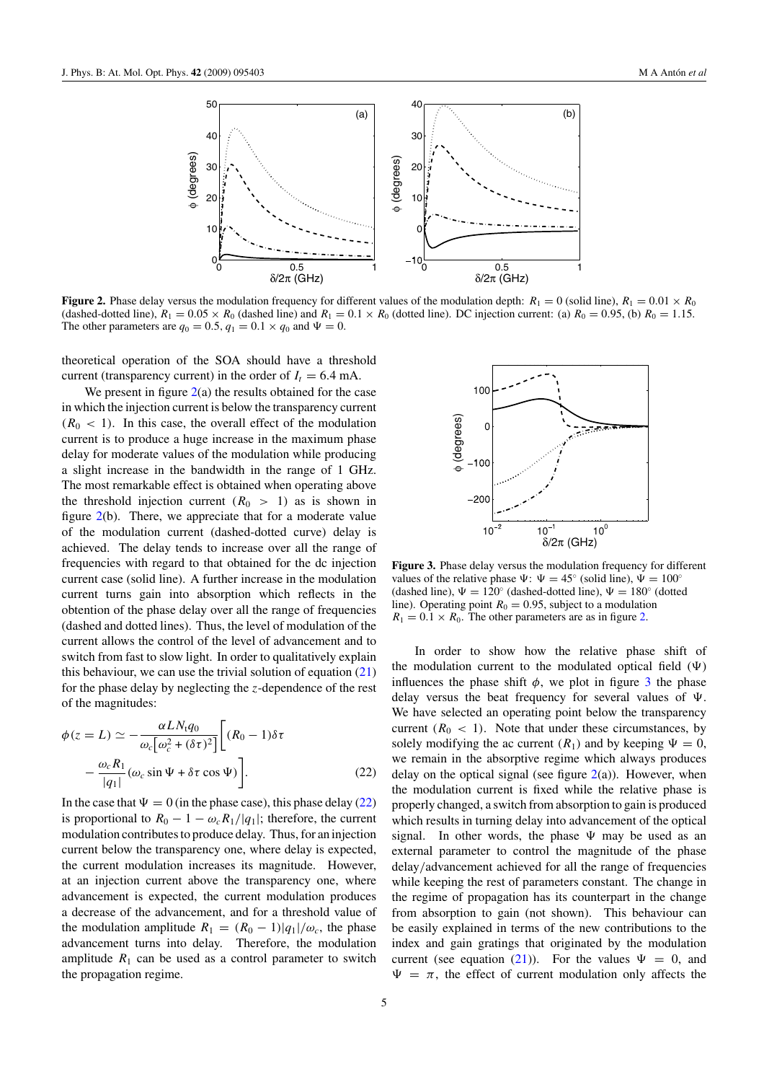<span id="page-4-0"></span>

**Figure 2.** Phase delay versus the modulation frequency for different values of the modulation depth:  $R_1 = 0$  (solid line),  $R_1 = 0.01 \times R_0$ (dashed-dotted line),  $R_1 = 0.05 \times R_0$  (dashed line) and  $R_1 = 0.1 \times R_0$  (dotted line). DC injection current: (a)  $R_0 = 0.95$ , (b)  $R_0 = 1.15$ . The other parameters are  $q_0 = 0.5$ ,  $q_1 = 0.1 \times q_0$  and  $\Psi = 0$ .

theoretical operation of the SOA should have a threshold current (transparency current) in the order of  $I_t = 6.4$  mA.

We present in figure  $2(a)$  the results obtained for the case in which the injection current is below the transparency current  $(R<sub>0</sub> < 1)$ . In this case, the overall effect of the modulation current is to produce a huge increase in the maximum phase delay for moderate values of the modulation while producing a slight increase in the bandwidth in the range of 1 GHz. The most remarkable effect is obtained when operating above the threshold injection current  $(R_0 > 1)$  as is shown in figure 2(b). There, we appreciate that for a moderate value of the modulation current (dashed-dotted curve) delay is achieved. The delay tends to increase over all the range of frequencies with regard to that obtained for the dc injection current case (solid line). A further increase in the modulation current turns gain into absorption which reflects in the obtention of the phase delay over all the range of frequencies (dashed and dotted lines). Thus, the level of modulation of the current allows the control of the level of advancement and to switch from fast to slow light. In order to qualitatively explain this behaviour, we can use the trivial solution of equation  $(21)$ for the phase delay by neglecting the *z*-dependence of the rest of the magnitudes:

$$
\phi(z = L) \simeq -\frac{\alpha L N_t q_0}{\omega_c [\omega_c^2 + (\delta \tau)^2]} \Big[ (R_0 - 1) \delta \tau -\frac{\omega_c R_1}{|q_1|} (\omega_c \sin \Psi + \delta \tau \cos \Psi) \Big].
$$
 (22)

In the case that  $\Psi = 0$  (in the phase case), this phase delay (22) is proportional to  $R_0 - 1 - \omega_c R_1 / |q_1|$ ; therefore, the current modulation contributes to produce delay. Thus, for an injection current below the transparency one, where delay is expected, the current modulation increases its magnitude. However, at an injection current above the transparency one, where advancement is expected, the current modulation produces a decrease of the advancement, and for a threshold value of the modulation amplitude  $R_1 = (R_0 - 1)|q_1|/\omega_c$ , the phase advancement turns into delay. Therefore, the modulation amplitude  $R_1$  can be used as a control parameter to switch the propagation regime.



**Figure 3.** Phase delay versus the modulation frequency for different values of the relative phase  $\Psi$ :  $\Psi = 45^\circ$  (solid line),  $\Psi = 100^\circ$ (dashed line),  $\Psi = 120^\circ$  (dashed-dotted line),  $\Psi = 180^\circ$  (dotted line). Operating point  $R_0 = 0.95$ , subject to a modulation  $R_1 = 0.1 \times R_0$ . The other parameters are as in figure 2.

In order to show how the relative phase shift of the modulation current to the modulated optical field  $(\Psi)$ influences the phase shift  $\phi$ , we plot in figure 3 the phase delay versus the beat frequency for several values of  $\Psi$ . We have selected an operating point below the transparency current  $(R_0 < 1)$ . Note that under these circumstances, by solely modifying the ac current  $(R_1)$  and by keeping  $\Psi = 0$ , we remain in the absorptive regime which always produces delay on the optical signal (see figure  $2(a)$ ). However, when the modulation current is fixed while the relative phase is properly changed, a switch from absorption to gain is produced which results in turning delay into advancement of the optical signal. In other words, the phase  $\Psi$  may be used as an external parameter to control the magnitude of the phase delay*/*advancement achieved for all the range of frequencies while keeping the rest of parameters constant. The change in the regime of propagation has its counterpart in the change from absorption to gain (not shown). This behaviour can be easily explained in terms of the new contributions to the index and gain gratings that originated by the modulation current (see equation [\(21\)](#page-3-0)). For the values  $\Psi = 0$ , and  $\Psi = \pi$ , the effect of current modulation only affects the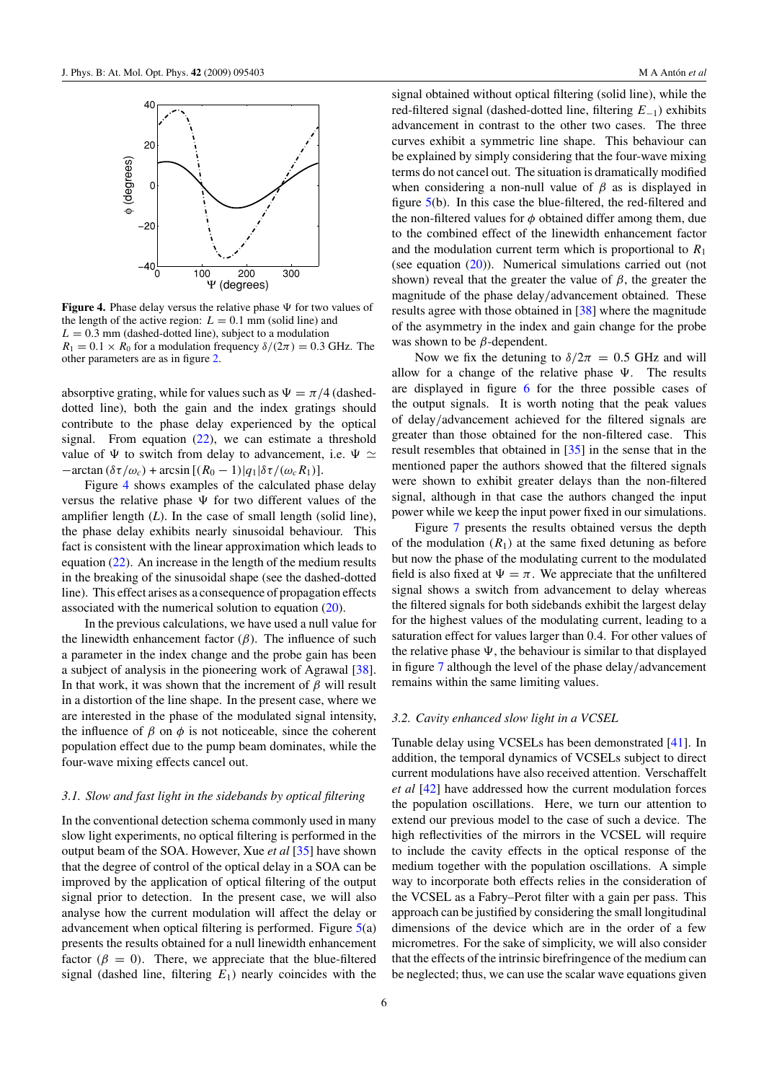

**Figure 4.** Phase delay versus the relative phase  $\Psi$  for two values of the length of the active region:  $L = 0.1$  mm (solid line) and  $L = 0.3$  mm (dashed-dotted line), subject to a modulation  $R_1 = 0.1 \times R_0$  for a modulation frequency  $\delta/(2\pi) = 0.3$  GHz. The other parameters are as in figure [2.](#page-4-0)

absorptive grating, while for values such as  $\Psi = \pi/4$  (dasheddotted line), both the gain and the index gratings should contribute to the phase delay experienced by the optical signal. From equation  $(22)$ , we can estimate a threshold value of  $\Psi$  to switch from delay to advancement, i.e.  $\Psi \simeq$  $-\arctan (\delta \tau/\omega_c) + \arcsin [(R_0-1)|q_1|\delta \tau/( \omega_c R_1)].$ 

Figure 4 shows examples of the calculated phase delay versus the relative phase  $\Psi$  for two different values of the amplifier length (*L*). In the case of small length (solid line), the phase delay exhibits nearly sinusoidal behaviour. This fact is consistent with the linear approximation which leads to equation [\(22\)](#page-4-0). An increase in the length of the medium results in the breaking of the sinusoidal shape (see the dashed-dotted line). This effect arises as a consequence of propagation effects associated with the numerical solution to equation [\(20\)](#page-3-0).

In the previous calculations, we have used a null value for the linewidth enhancement factor  $(\beta)$ . The influence of such a parameter in the index change and the probe gain has been a subject of analysis in the pioneering work of Agrawal [\[38](#page-7-0)]. In that work, it was shown that the increment of *β* will result in a distortion of the line shape. In the present case, where we are interested in the phase of the modulated signal intensity, the influence of  $\beta$  on  $\phi$  is not noticeable, since the coherent population effect due to the pump beam dominates, while the four-wave mixing effects cancel out.

#### *3.1. Slow and fast light in the sidebands by optical filtering*

In the conventional detection schema commonly used in many slow light experiments, no optical filtering is performed in the output beam of the SOA. However, Xue *et al* [\[35](#page-7-0)] have shown that the degree of control of the optical delay in a SOA can be improved by the application of optical filtering of the output signal prior to detection. In the present case, we will also analyse how the current modulation will affect the delay or advancement when optical filtering is performed. Figure  $5(a)$  $5(a)$ presents the results obtained for a null linewidth enhancement factor  $(\beta = 0)$ . There, we appreciate that the blue-filtered signal (dashed line, filtering  $E_1$ ) nearly coincides with the

signal obtained without optical filtering (solid line), while the red-filtered signal (dashed-dotted line, filtering *E*−1) exhibits advancement in contrast to the other two cases. The three curves exhibit a symmetric line shape. This behaviour can be explained by simply considering that the four-wave mixing terms do not cancel out. The situation is dramatically modified when considering a non-null value of  $\beta$  as is displayed in figure [5\(](#page-6-0)b). In this case the blue-filtered, the red-filtered and the non-filtered values for  $\phi$  obtained differ among them, due to the combined effect of the linewidth enhancement factor and the modulation current term which is proportional to  $R_1$ (see equation  $(20)$ ). Numerical simulations carried out (not shown) reveal that the greater the value of  $\beta$ , the greater the magnitude of the phase delay*/*advancement obtained. These results agree with those obtained in [\[38](#page-7-0)] where the magnitude of the asymmetry in the index and gain change for the probe was shown to be *β*-dependent.

Now we fix the detuning to  $\delta/2\pi = 0.5$  GHz and will allow for a change of the relative phase  $\Psi$ . The results are displayed in figure [6](#page-6-0) for the three possible cases of the output signals. It is worth noting that the peak values of delay*/*advancement achieved for the filtered signals are greater than those obtained for the non-filtered case. This result resembles that obtained in [\[35](#page-7-0)] in the sense that in the mentioned paper the authors showed that the filtered signals were shown to exhibit greater delays than the non-filtered signal, although in that case the authors changed the input power while we keep the input power fixed in our simulations.

Figure [7](#page-6-0) presents the results obtained versus the depth of the modulation  $(R_1)$  at the same fixed detuning as before but now the phase of the modulating current to the modulated field is also fixed at  $\Psi = \pi$ . We appreciate that the unfiltered signal shows a switch from advancement to delay whereas the filtered signals for both sidebands exhibit the largest delay for the highest values of the modulating current, leading to a saturation effect for values larger than 0*.*4. For other values of the relative phase  $\Psi$ , the behaviour is similar to that displayed in figure [7](#page-6-0) although the level of the phase delay*/*advancement remains within the same limiting values.

#### *3.2. Cavity enhanced slow light in a VCSEL*

Tunable delay using VCSELs has been demonstrated [\[41\]](#page-7-0). In addition, the temporal dynamics of VCSELs subject to direct current modulations have also received attention. Verschaffelt *et al* [\[42\]](#page-7-0) have addressed how the current modulation forces the population oscillations. Here, we turn our attention to extend our previous model to the case of such a device. The high reflectivities of the mirrors in the VCSEL will require to include the cavity effects in the optical response of the medium together with the population oscillations. A simple way to incorporate both effects relies in the consideration of the VCSEL as a Fabry–Perot filter with a gain per pass. This approach can be justified by considering the small longitudinal dimensions of the device which are in the order of a few micrometres. For the sake of simplicity, we will also consider that the effects of the intrinsic birefringence of the medium can be neglected; thus, we can use the scalar wave equations given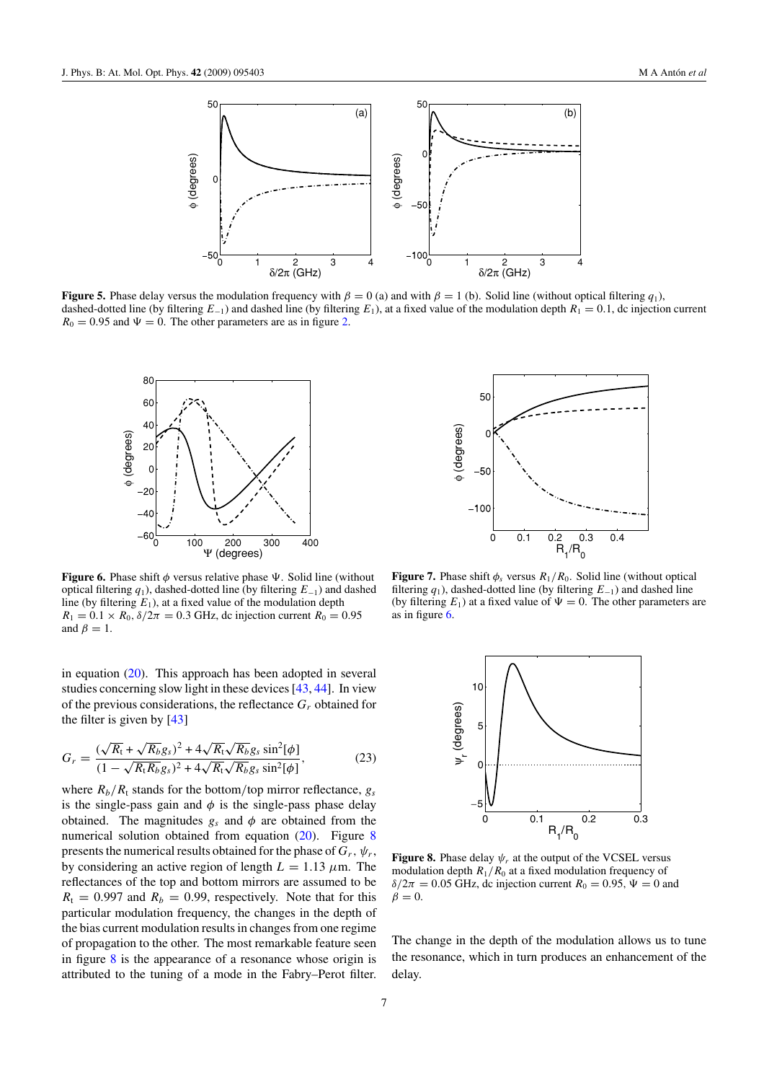<span id="page-6-0"></span>

**Figure 5.** Phase delay versus the modulation frequency with  $\beta = 0$  (a) and with  $\beta = 1$  (b). Solid line (without optical filtering *q*<sub>1</sub>), dashed-dotted line (by filtering  $E_{-1}$ ) and dashed line (by filtering  $E_1$ ), at a fixed value of the modulation depth  $R_1 = 0.1$ , dc injection current  $R_0 = 0.95$  and  $\Psi = 0$ . The other parameters are as in figure [2.](#page-4-0)



**Figure 6.** Phase shift  $\phi$  versus relative phase  $\Psi$ . Solid line (without optical filtering *q*1), dashed-dotted line (by filtering *E*−1) and dashed line (by filtering  $E_1$ ), at a fixed value of the modulation depth  $R_1 = 0.1 \times R_0$ ,  $\delta/2\pi = 0.3$  GHz, dc injection current  $R_0 = 0.95$ and  $\beta = 1$ .

in equation  $(20)$ . This approach has been adopted in several studies concerning slow light in these devices [\[43](#page-7-0), [44\]](#page-7-0). In view of the previous considerations, the reflectance *Gr* obtained for the filter is given by [\[43](#page-7-0)]

$$
G_r = \frac{(\sqrt{R_t} + \sqrt{R_b}g_s)^2 + 4\sqrt{R_t}\sqrt{R_b}g_s\sin^2[\phi]}{(1 - \sqrt{R_tR_b}g_s)^2 + 4\sqrt{R_t}\sqrt{R_b}g_s\sin^2[\phi]},
$$
(23)

where  $R_b/R_t$  stands for the bottom/top mirror reflectance,  $g_s$ is the single-pass gain and  $\phi$  is the single-pass phase delay obtained. The magnitudes  $g_s$  and  $\phi$  are obtained from the numerical solution obtained from equation  $(20)$ . Figure 8 presents the numerical results obtained for the phase of  $G_r$ ,  $\psi_r$ , by considering an active region of length  $L = 1.13 \mu$ m. The reflectances of the top and bottom mirrors are assumed to be  $R_t = 0.997$  and  $R_b = 0.99$ , respectively. Note that for this particular modulation frequency, the changes in the depth of the bias current modulation results in changes from one regime of propagation to the other. The most remarkable feature seen in figure 8 is the appearance of a resonance whose origin is attributed to the tuning of a mode in the Fabry–Perot filter.



**Figure 7.** Phase shift  $\phi_s$  versus  $R_1/R_0$ . Solid line (without optical filtering *q*1), dashed-dotted line (by filtering *E*−1) and dashed line (by filtering  $E_1$ ) at a fixed value of  $\Psi = 0$ . The other parameters are as in figure 6.



**Figure 8.** Phase delay  $\psi_r$  at the output of the VCSEL versus modulation depth *R*1*/R*<sup>0</sup> at a fixed modulation frequency of  $\delta/2\pi = 0.05$  GHz, dc injection current  $R_0 = 0.95$ ,  $\Psi = 0$  and  $\beta = 0$ .

The change in the depth of the modulation allows us to tune the resonance, which in turn produces an enhancement of the delay.